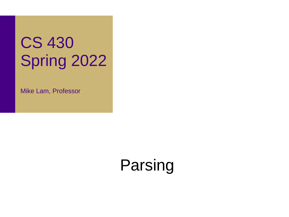# CS 430 Spring 2022

Mike Lam, Professor

Parsing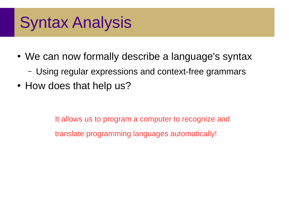### Syntax Analysis

- We can now formally describe a language's syntax
	- Using regular expressions and context-free grammars
- How does that help us?

It allows us to program a computer to recognize and translate programming languages automatically!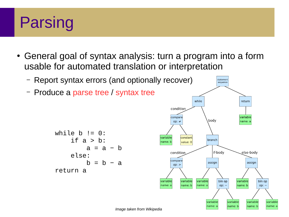### Parsing

- General goal of syntax analysis: turn a program into a form usable for automated translation or interpretation
	- Report syntax errors (and optionally recover)
	- Produce a parse tree / syntax tree

```
while b := 0:
if a > b:
    a = a - b else:
     b = b - a return a
```
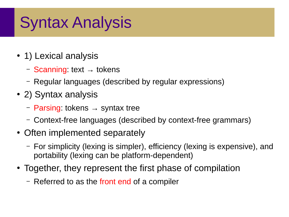## Syntax Analysis

- 1) Lexical analysis
	- $-$  Scanning: text  $\rightarrow$  tokens
	- Regular languages (described by regular expressions)
- 2) Syntax analysis
	- Parsing: tokens  $\rightarrow$  syntax tree
	- Context-free languages (described by context-free grammars)
- Often implemented separately
	- For simplicity (lexing is simpler), efficiency (lexing is expensive), and portability (lexing can be platform-dependent)
- Together, they represent the first phase of compilation
	- Referred to as the front end of a compiler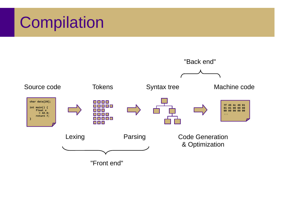### Compilation

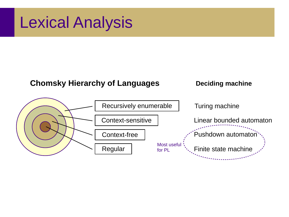#### Lexical Analysis

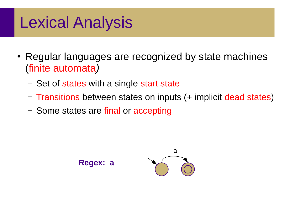### Lexical Analysis

- Regular languages are recognized by state machines (finite automata*)*
	- Set of states with a single start state
	- Transitions between states on inputs (+ implicit dead states)
	- Some states are final or accepting

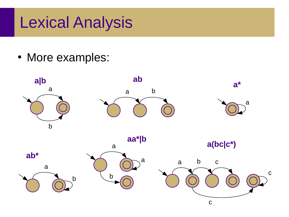#### Lexical Analysis

• More examples:

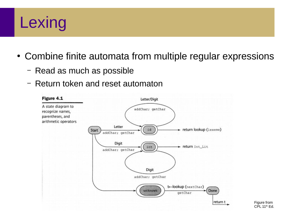## **Lexing**

- Combine finite automata from multiple regular expressions
	- Read as much as possible
	- Return token and reset automaton

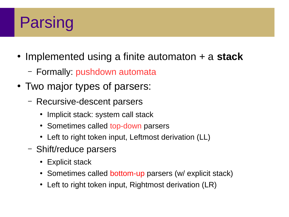### Parsing

- Implemented using a finite automaton + a **stack** 
	- Formally: pushdown automata
- Two major types of parsers:
	- Recursive-descent parsers
		- Implicit stack: system call stack
		- Sometimes called top-down parsers
		- Left to right token input, Leftmost derivation (LL)
	- Shift/reduce parsers
		- Explicit stack
		- Sometimes called bottom-up parsers (w/ explicit stack)
		- Left to right token input, Rightmost derivation (LR)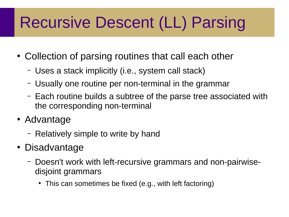## Recursive Descent (LL) Parsing

- Collection of parsing routines that call each other
	- Uses a stack implicitly (i.e., system call stack)
	- Usually one routine per non-terminal in the grammar
	- Each routine builds a subtree of the parse tree associated with the corresponding non-terminal
- Advantage
	- Relatively simple to write by hand
- Disadvantage
	- Doesn't work with left-recursive grammars and non-pairwisedisjoint grammars
		- This can sometimes be fixed (e.g., with left factoring)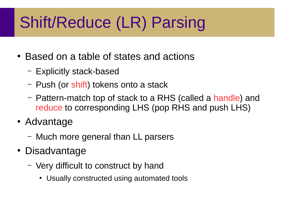# Shift/Reduce (LR) Parsing

- Based on a table of states and actions
	- Explicitly stack-based
	- Push (or shift) tokens onto a stack
	- Pattern-match top of stack to a RHS (called a handle) and reduce to corresponding LHS (pop RHS and push LHS)
- Advantage
	- Much more general than LL parsers
- Disadvantage
	- Very difficult to construct by hand
		- Usually constructed using automated tools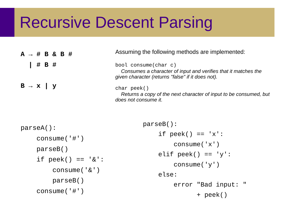#### Recursive Descent Parsing

|                          |       | $A \rightarrow # B & B & B & \#$ |  | Assuming the following methods are implemented:                                                                                             |
|--------------------------|-------|----------------------------------|--|---------------------------------------------------------------------------------------------------------------------------------------------|
|                          | # B # |                                  |  | bool consume(char c)<br>Consumes a character of input and verifies that it matches the<br>given character (returns "false" if it does not). |
| $B \rightarrow X \mid y$ |       |                                  |  | $char$ peek()<br>Returns a copy of the next character of input to be consumed, but<br>does not consume it.                                  |

```
parseA():
 consume('#')
 parseB()
if peek() == '&': consume('&')
     parseB()
 consume('#')
                              parseB():
                                  if peek() == 'x': consume('x')
                                  elif peek() == 'y': consume('y')
                                   else:
                                        error "Bad input: "
                                              + peek()
```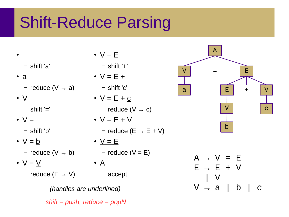### Shift-Reduce Parsing

- - shift 'a'
- $\bullet$  a – reduce  $(V \rightarrow a)$
- V
	- $-$  shift '='
- $\bullet \vee =$ 
	- shift 'b'
- $\bullet \ \lor = \underline{b}$ 
	-
- $\bullet \vee = \vee$ 
	- reduce (E → V) accept
- $-$  reduce (V  $\rightarrow$  b)  $-$  reduce (V = E)  $\bullet$   $V = E$ – shift '+'  $\bullet \vee$  = E + – shift 'c'  $\bullet \vee$  = E + c – reduce  $(V \rightarrow c)$  $\bullet \ \vee = \underline{E} + \underline{V}$ – reduce ( $E \rightarrow E + V$ )  $\bullet$   $\underline{V} = \underline{E}$  $\bullet$  A
	- *(handles are underlined) shift = push, reduce = popN*



 $A \rightarrow V = E$  $E \rightarrow E + V$  | V  $V \rightarrow a$  | b | c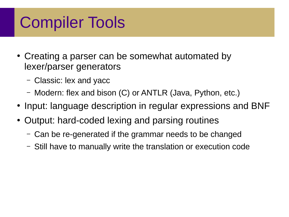## Compiler Tools

- Creating a parser can be somewhat automated by lexer/parser generators
	- Classic: lex and yacc
	- Modern: flex and bison (C) or ANTLR (Java, Python, etc.)
- Input: language description in regular expressions and BNF
- Output: hard-coded lexing and parsing routines
	- Can be re-generated if the grammar needs to be changed
	- Still have to manually write the translation or execution code